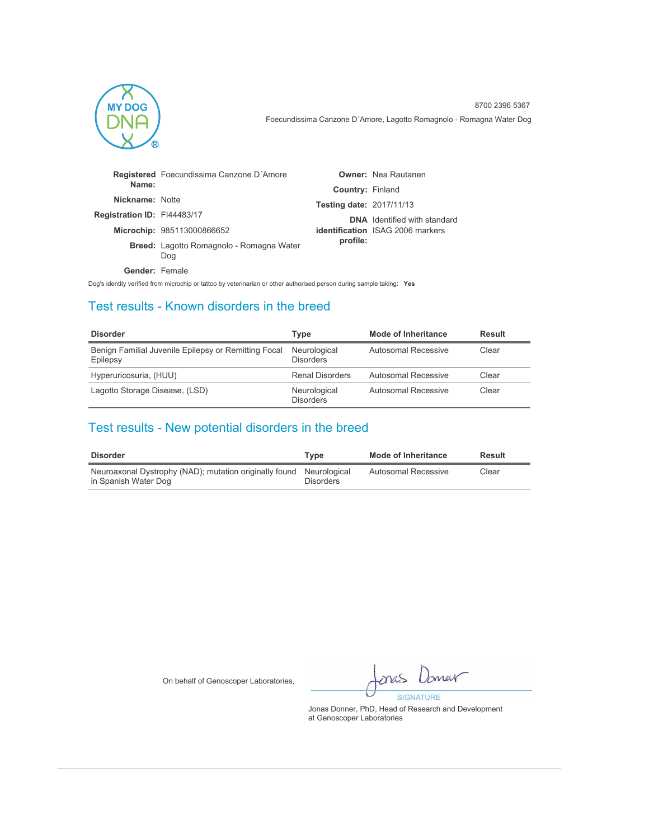

|                             | Registered Foecundissima Canzone D'Amore               |                                 | <b>Owner:</b> Nea Rautanen              |
|-----------------------------|--------------------------------------------------------|---------------------------------|-----------------------------------------|
| Name:                       |                                                        | <b>Country: Finland</b>         |                                         |
| Nickname: Notte             |                                                        | <b>Testing date: 2017/11/13</b> |                                         |
| Registration ID: FI44483/17 |                                                        |                                 | <b>DNA</b> Identified with standard     |
|                             | Microchip: 985113000866652                             |                                 | <b>identification</b> ISAG 2006 markers |
|                             | <b>Breed:</b> Lagotto Romagnolo - Romagna Water<br>Dog | profile:                        |                                         |
| Gender: Female              |                                                        |                                 |                                         |

Dog's identity verified from microchip or tattoo by veterinarian or other authorised person during sample taking: **Yes**

### Test results - Known disorders in the breed

| <b>Disorder</b>                                                  | Type                             | Mode of Inheritance | Result |
|------------------------------------------------------------------|----------------------------------|---------------------|--------|
| Benign Familial Juvenile Epilepsy or Remitting Focal<br>Epilepsy | Neurological<br><b>Disorders</b> | Autosomal Recessive | Clear  |
| Hyperuricosuria, (HUU)                                           | <b>Renal Disorders</b>           | Autosomal Recessive | Clear  |
| Lagotto Storage Disease, (LSD)                                   | Neurological<br><b>Disorders</b> | Autosomal Recessive | Clear  |

## Test results - New potential disorders in the breed

| Disorder                                                                                    | Tvpe             | <b>Mode of Inheritance</b> | Result |
|---------------------------------------------------------------------------------------------|------------------|----------------------------|--------|
| Neuroaxonal Dystrophy (NAD); mutation originally found Neurological<br>in Spanish Water Dog | <b>Disorders</b> | Autosomal Recessive        | Clear  |

On behalf of Genoscoper Laboratories,

omer mas **SIGNATURE**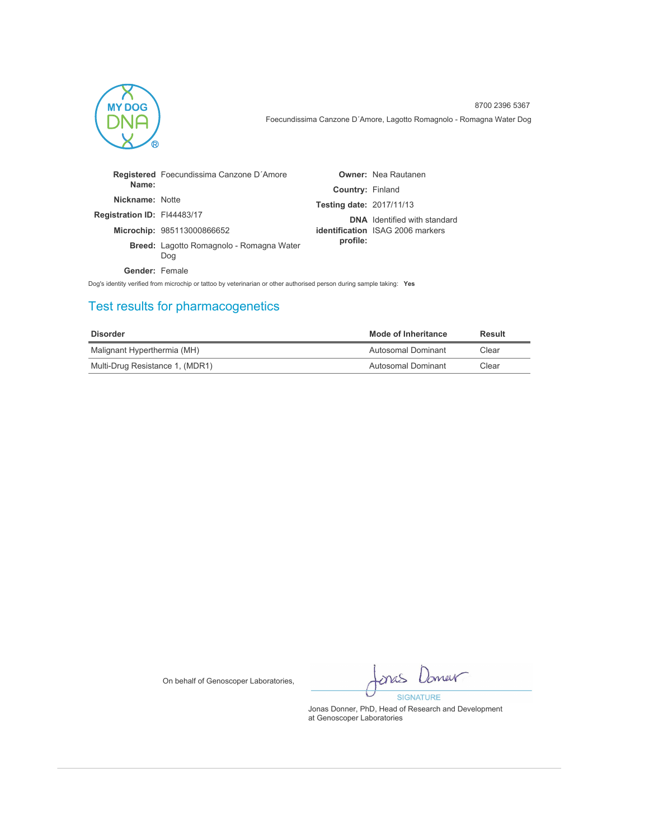

|                             | Registered Foecundissima Canzone D'Amore               |                                 | <b>Owner:</b> Nea Rautanen              |
|-----------------------------|--------------------------------------------------------|---------------------------------|-----------------------------------------|
| Name:                       |                                                        | <b>Country: Finland</b>         |                                         |
| Nickname: Notte             |                                                        | <b>Testing date: 2017/11/13</b> |                                         |
| Registration ID: FI44483/17 |                                                        |                                 | <b>DNA</b> Identified with standard     |
|                             | Microchip: 985113000866652                             |                                 | <b>identification</b> ISAG 2006 markers |
|                             | <b>Breed:</b> Lagotto Romagnolo - Romagna Water<br>Dog | profile:                        |                                         |
| Gender: Female              |                                                        |                                 |                                         |

Dog's identity verified from microchip or tattoo by veterinarian or other authorised person during sample taking: **Yes**

# Test results for pharmacogenetics

| Disorder                        | Mode of Inheritance | Result |
|---------------------------------|---------------------|--------|
| Malignant Hyperthermia (MH)     | Autosomal Dominant  | Clear  |
| Multi-Drug Resistance 1, (MDR1) | Autosomal Dominant  | Clear  |

On behalf of Genoscoper Laboratories,

Imer mas **SIGNATURE**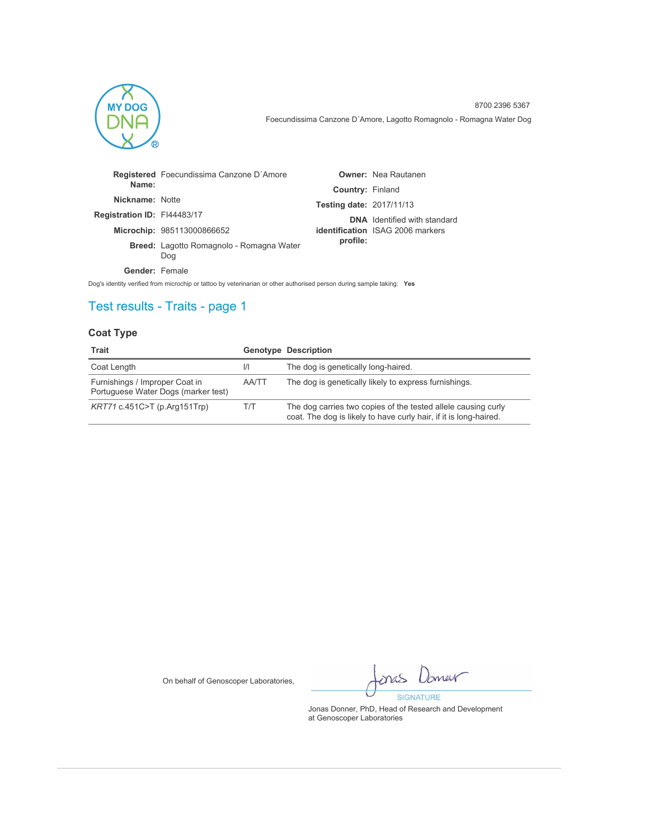

|                             | Registered Foecundissima Canzone D'Amore               |                                 | <b>Owner: Nea Rautanen</b>              |
|-----------------------------|--------------------------------------------------------|---------------------------------|-----------------------------------------|
| Name:                       |                                                        | <b>Country: Finland</b>         |                                         |
| Nickname: Notte             |                                                        | <b>Testing date: 2017/11/13</b> |                                         |
| Registration ID: FI44483/17 |                                                        |                                 | <b>DNA</b> Identified with standard     |
|                             | Microchip: 985113000866652                             |                                 | <b>identification</b> ISAG 2006 markers |
|                             | <b>Breed:</b> Lagotto Romagnolo - Romagna Water<br>Dog | profile:                        |                                         |
| Gender: Female              |                                                        |                                 |                                         |

Dog's identity verified from microchip or tattoo by veterinarian or other authorised person during sample taking: **Yes**

# Test results - Traits - page 1

### **Coat Type**

| Trait                                                                 |               | <b>Genotype Description</b>                                                                                                        |
|-----------------------------------------------------------------------|---------------|------------------------------------------------------------------------------------------------------------------------------------|
| Coat Length                                                           | $\mathcal{U}$ | The dog is genetically long-haired.                                                                                                |
| Furnishings / Improper Coat in<br>Portuguese Water Dogs (marker test) | AA/TT         | The dog is genetically likely to express furnishings.                                                                              |
| $KRT71$ c.451C>T (p.Arg151Trp)                                        | T/T           | The dog carries two copies of the tested allele causing curly<br>coat. The dog is likely to have curly hair, if it is long-haired. |

On behalf of Genoscoper Laboratories,

Jamer ones **SIGNATURE**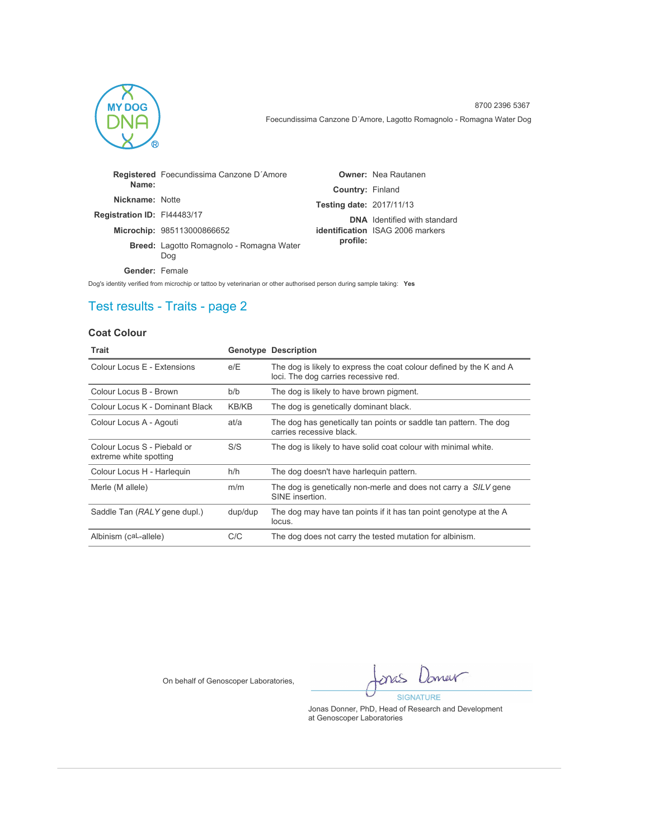

|                             | Registered Foecundissima Canzone D'Amore               |                                 | <b>Owner: Nea Rautanen</b>              |
|-----------------------------|--------------------------------------------------------|---------------------------------|-----------------------------------------|
| Name:                       |                                                        | <b>Country: Finland</b>         |                                         |
| Nickname: Notte             |                                                        | <b>Testing date: 2017/11/13</b> |                                         |
| Registration ID: FI44483/17 |                                                        |                                 | <b>DNA</b> Identified with standard     |
|                             | Microchip: 985113000866652                             |                                 | <b>identification</b> ISAG 2006 markers |
|                             | <b>Breed:</b> Lagotto Romagnolo - Romagna Water<br>Dog | profile:                        |                                         |
| Gender: Female              |                                                        |                                 |                                         |

Dog's identity verified from microchip or tattoo by veterinarian or other authorised person during sample taking: **Yes**

# Test results - Traits - page 2

### **Coat Colour**

| Trait                                                 |              | <b>Genotype Description</b>                                                                                 |
|-------------------------------------------------------|--------------|-------------------------------------------------------------------------------------------------------------|
| Colour Locus E - Extensions                           | e/E          | The dog is likely to express the coat colour defined by the K and A<br>loci. The dog carries recessive red. |
| Colour Locus B - Brown                                | b/b          | The dog is likely to have brown pigment.                                                                    |
| Colour Locus K - Dominant Black                       | <b>KB/KB</b> | The dog is genetically dominant black.                                                                      |
| Colour Locus A - Agouti                               | at/a         | The dog has genetically tan points or saddle tan pattern. The dog<br>carries recessive black.               |
| Colour Locus S - Piebald or<br>extreme white spotting | S/S          | The dog is likely to have solid coat colour with minimal white.                                             |
| Colour Locus H - Harleguin                            | h/h          | The dog doesn't have harleguin pattern.                                                                     |
| Merle (M allele)                                      | m/m          | The dog is genetically non-merle and does not carry a SILV gene<br>SINE insertion.                          |
| Saddle Tan (RALY gene dupl.)                          | dup/dup      | The dog may have tan points if it has tan point genotype at the A<br>locus.                                 |
| Albinism (caL-allele)                                 | C/C          | The dog does not carry the tested mutation for albinism.                                                    |

On behalf of Genoscoper Laboratories,

Domer ones **SIGNATURE**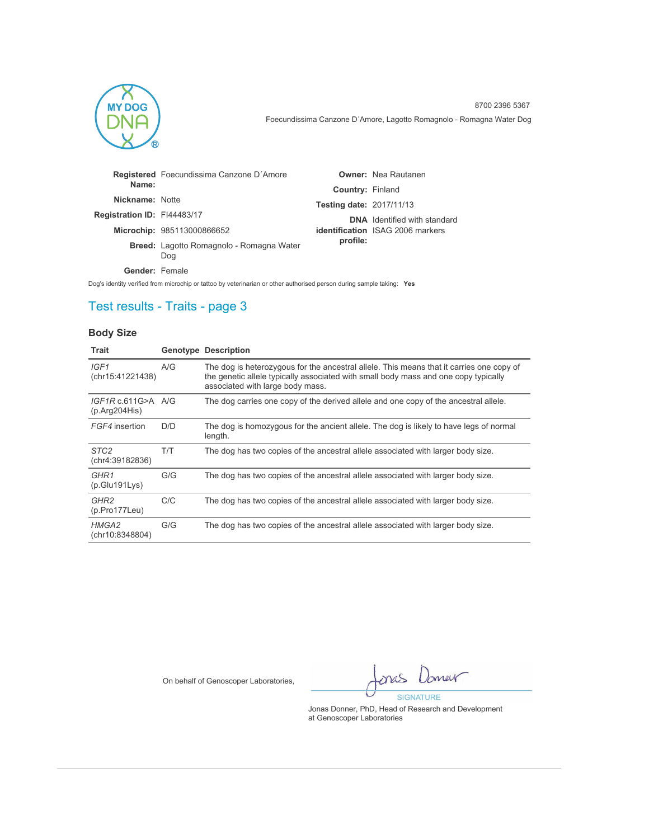

|                             | Registered Foecundissima Canzone D'Amore               |                                 | <b>Owner:</b> Nea Rautanen              |
|-----------------------------|--------------------------------------------------------|---------------------------------|-----------------------------------------|
| Name:                       |                                                        | <b>Country: Finland</b>         |                                         |
| Nickname: Notte             |                                                        | <b>Testing date: 2017/11/13</b> |                                         |
| Registration ID: FI44483/17 |                                                        |                                 | <b>DNA</b> Identified with standard     |
|                             | Microchip: 985113000866652                             |                                 | <b>identification</b> ISAG 2006 markers |
|                             | <b>Breed:</b> Lagotto Romagnolo - Romagna Water<br>Dog | profile:                        |                                         |
| Gender: Female              |                                                        |                                 |                                         |

Dog's identity verified from microchip or tattoo by veterinarian or other authorised person during sample taking: **Yes**

## Test results - Traits - page 3

### **Body Size**

| Trait                                    |     | <b>Genotype Description</b>                                                                                                                                                                                         |
|------------------------------------------|-----|---------------------------------------------------------------------------------------------------------------------------------------------------------------------------------------------------------------------|
| IGF1<br>(chr15:41221438)                 | A/G | The dog is heterozygous for the ancestral allele. This means that it carries one copy of<br>the genetic allele typically associated with small body mass and one copy typically<br>associated with large body mass. |
| IGF1Rc.611G>A A/G<br>(p. Arg204His)      |     | The dog carries one copy of the derived allele and one copy of the ancestral allele.                                                                                                                                |
| FGF4 insertion                           | D/D | The dog is homozygous for the ancient allele. The dog is likely to have legs of normal<br>length.                                                                                                                   |
| STC <sub>2</sub><br>(chr4:39182836)      | T/T | The dog has two copies of the ancestral allele associated with larger body size.                                                                                                                                    |
| GHR1<br>(p.Glu191Lys)                    | G/G | The dog has two copies of the ancestral allele associated with larger body size.                                                                                                                                    |
| GHR <sub>2</sub><br>$(p. Pro177$ Leu $)$ | C/C | The dog has two copies of the ancestral allele associated with larger body size.                                                                                                                                    |
| HMGA2<br>(chr10:8348804)                 | G/G | The dog has two copies of the ancestral allele associated with larger body size.                                                                                                                                    |

On behalf of Genoscoper Laboratories,

Imer mas **SIGNATURE**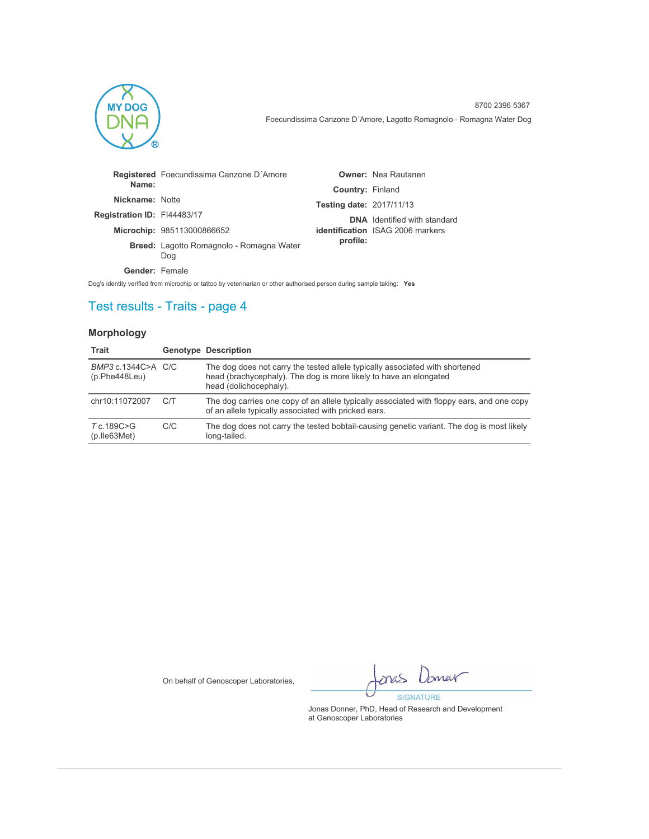

|                             | Registered Foecundissima Canzone D'Amore               |                                 | <b>Owner:</b> Nea Rautanen              |
|-----------------------------|--------------------------------------------------------|---------------------------------|-----------------------------------------|
| Name:                       |                                                        | <b>Country: Finland</b>         |                                         |
| Nickname: Notte             |                                                        | <b>Testing date: 2017/11/13</b> |                                         |
| Registration ID: FI44483/17 |                                                        |                                 | <b>DNA</b> Identified with standard     |
|                             | Microchip: 985113000866652                             |                                 | <b>identification</b> ISAG 2006 markers |
|                             | <b>Breed:</b> Lagotto Romagnolo - Romagna Water<br>Dog | profile:                        |                                         |
| Gender: Female              |                                                        |                                 |                                         |

Dog's identity verified from microchip or tattoo by veterinarian or other authorised person during sample taking: **Yes**

## Test results - Traits - page 4

### **Morphology**

| Trait                                |     | <b>Genotype Description</b>                                                                                                                                                 |
|--------------------------------------|-----|-----------------------------------------------------------------------------------------------------------------------------------------------------------------------------|
| BMP3 c.1344C>A C/C<br>(p.Phe448Leu)  |     | The dog does not carry the tested allele typically associated with shortened<br>head (brachycephaly). The dog is more likely to have an elongated<br>head (dolichocephaly). |
| chr10:11072007                       | C/T | The dog carries one copy of an allele typically associated with floppy ears, and one copy<br>of an allele typically associated with pricked ears.                           |
| T c.189C>G<br>$(p.$ lle $63$ Met $)$ | C/C | The dog does not carry the tested bobtail-causing genetic variant. The dog is most likely<br>long-tailed.                                                                   |

On behalf of Genoscoper Laboratories,

Imer mas **SIGNATURE**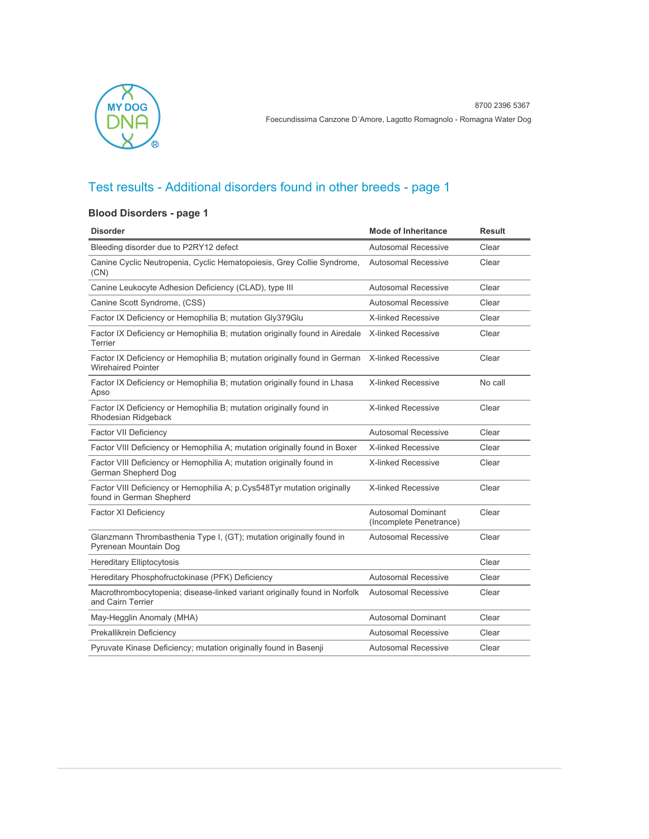

### **Blood Disorders - page 1**

| <b>Disorder</b>                                                                                        | <b>Mode of Inheritance</b>                           | <b>Result</b> |
|--------------------------------------------------------------------------------------------------------|------------------------------------------------------|---------------|
| Bleeding disorder due to P2RY12 defect                                                                 | <b>Autosomal Recessive</b>                           | Clear         |
| Canine Cyclic Neutropenia, Cyclic Hematopoiesis, Grey Collie Syndrome,<br>(CN)                         | <b>Autosomal Recessive</b>                           | Clear         |
| Canine Leukocyte Adhesion Deficiency (CLAD), type III                                                  | <b>Autosomal Recessive</b>                           | Clear         |
| Canine Scott Syndrome, (CSS)                                                                           | Autosomal Recessive                                  | Clear         |
| Factor IX Deficiency or Hemophilia B; mutation Gly379Glu                                               | <b>X-linked Recessive</b>                            | Clear         |
| Factor IX Deficiency or Hemophilia B; mutation originally found in Airedale<br>Terrier                 | X-linked Recessive                                   | Clear         |
| Factor IX Deficiency or Hemophilia B; mutation originally found in German<br><b>Wirehaired Pointer</b> | <b>X-linked Recessive</b>                            | Clear         |
| Factor IX Deficiency or Hemophilia B; mutation originally found in Lhasa<br>Apso                       | <b>X-linked Recessive</b>                            | No call       |
| Factor IX Deficiency or Hemophilia B; mutation originally found in<br>Rhodesian Ridgeback              | <b>X-linked Recessive</b>                            | Clear         |
| <b>Factor VII Deficiency</b>                                                                           | Autosomal Recessive                                  | Clear         |
| Factor VIII Deficiency or Hemophilia A; mutation originally found in Boxer                             | <b>X-linked Recessive</b>                            | Clear         |
| Factor VIII Deficiency or Hemophilia A; mutation originally found in<br>German Shepherd Dog            | X-linked Recessive                                   | Clear         |
| Factor VIII Deficiency or Hemophilia A; p.Cys548Tyr mutation originally<br>found in German Shepherd    | <b>X-linked Recessive</b>                            | Clear         |
| <b>Factor XI Deficiency</b>                                                                            | <b>Autosomal Dominant</b><br>(Incomplete Penetrance) | Clear         |
| Glanzmann Thrombasthenia Type I, (GT); mutation originally found in<br>Pyrenean Mountain Dog           | Autosomal Recessive                                  | Clear         |
| <b>Hereditary Elliptocytosis</b>                                                                       |                                                      | Clear         |
| Hereditary Phosphofructokinase (PFK) Deficiency                                                        | <b>Autosomal Recessive</b>                           | Clear         |
| Macrothrombocytopenia; disease-linked variant originally found in Norfolk<br>and Cairn Terrier         | <b>Autosomal Recessive</b>                           | Clear         |
| May-Hegglin Anomaly (MHA)                                                                              | <b>Autosomal Dominant</b>                            | Clear         |
| Prekallikrein Deficiency                                                                               | <b>Autosomal Recessive</b>                           | Clear         |
| Pyruvate Kinase Deficiency; mutation originally found in Basenji                                       | <b>Autosomal Recessive</b>                           | Clear         |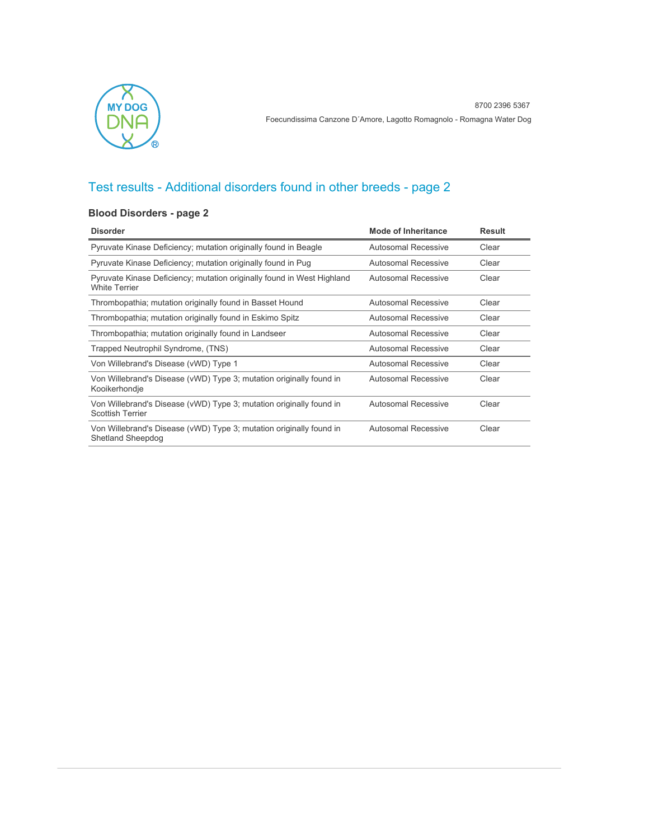

### **Blood Disorders - page 2**

| <b>Disorder</b>                                                                                 | <b>Mode of Inheritance</b> | <b>Result</b> |
|-------------------------------------------------------------------------------------------------|----------------------------|---------------|
| Pyruvate Kinase Deficiency; mutation originally found in Beagle                                 | Autosomal Recessive        | Clear         |
| Pyruvate Kinase Deficiency; mutation originally found in Pug                                    | Autosomal Recessive        | Clear         |
| Pyruvate Kinase Deficiency; mutation originally found in West Highland<br><b>White Terrier</b>  | Autosomal Recessive        | Clear         |
| Thrombopathia; mutation originally found in Basset Hound                                        | Autosomal Recessive        | Clear         |
| Thrombopathia; mutation originally found in Eskimo Spitz                                        | Autosomal Recessive        | Clear         |
| Thrombopathia; mutation originally found in Landseer                                            | Autosomal Recessive        | Clear         |
| Trapped Neutrophil Syndrome, (TNS)                                                              | Autosomal Recessive        | Clear         |
| Von Willebrand's Disease (vWD) Type 1                                                           | Autosomal Recessive        | Clear         |
| Von Willebrand's Disease (vWD) Type 3; mutation originally found in<br>Kooikerhondje            | Autosomal Recessive        | Clear         |
| Von Willebrand's Disease (vWD) Type 3; mutation originally found in<br><b>Scottish Terrier</b>  | <b>Autosomal Recessive</b> | Clear         |
| Von Willebrand's Disease (vWD) Type 3; mutation originally found in<br><b>Shetland Sheepdog</b> | <b>Autosomal Recessive</b> | Clear         |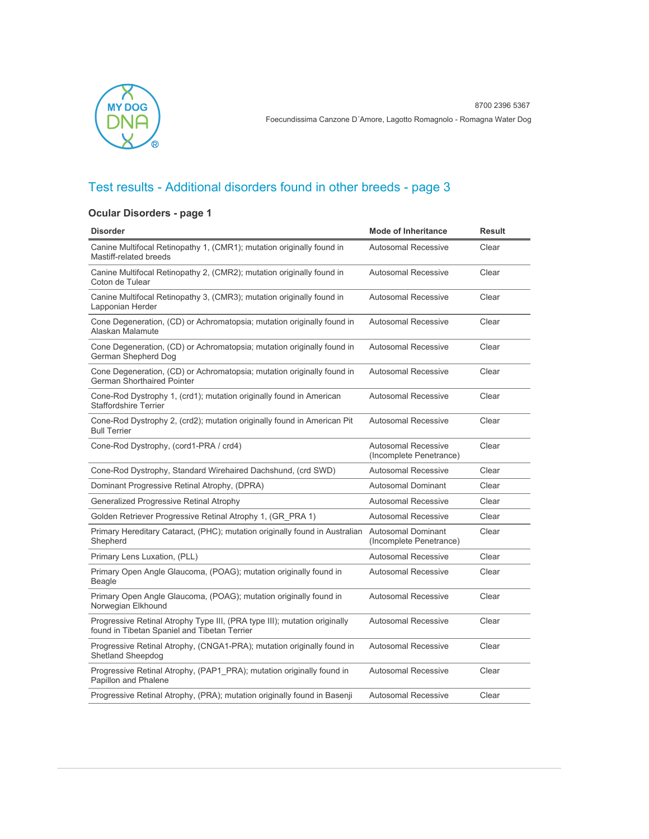

### **Ocular Disorders - page 1**

| <b>Disorder</b>                                                                                                           | <b>Mode of Inheritance</b>                            | <b>Result</b> |
|---------------------------------------------------------------------------------------------------------------------------|-------------------------------------------------------|---------------|
| Canine Multifocal Retinopathy 1, (CMR1); mutation originally found in<br>Mastiff-related breeds                           | <b>Autosomal Recessive</b>                            | Clear         |
| Canine Multifocal Retinopathy 2, (CMR2); mutation originally found in<br>Coton de Tulear                                  | <b>Autosomal Recessive</b>                            | Clear         |
| Canine Multifocal Retinopathy 3, (CMR3); mutation originally found in<br>Lapponian Herder                                 | <b>Autosomal Recessive</b>                            | Clear         |
| Cone Degeneration, (CD) or Achromatopsia; mutation originally found in<br>Alaskan Malamute                                | <b>Autosomal Recessive</b>                            | Clear         |
| Cone Degeneration, (CD) or Achromatopsia; mutation originally found in<br>German Shepherd Dog                             | <b>Autosomal Recessive</b>                            | Clear         |
| Cone Degeneration, (CD) or Achromatopsia; mutation originally found in<br><b>German Shorthaired Pointer</b>               | <b>Autosomal Recessive</b>                            | Clear         |
| Cone-Rod Dystrophy 1, (crd1); mutation originally found in American<br><b>Staffordshire Terrier</b>                       | <b>Autosomal Recessive</b>                            | Clear         |
| Cone-Rod Dystrophy 2, (crd2); mutation originally found in American Pit<br><b>Bull Terrier</b>                            | <b>Autosomal Recessive</b>                            | Clear         |
| Cone-Rod Dystrophy, (cord1-PRA / crd4)                                                                                    | <b>Autosomal Recessive</b><br>(Incomplete Penetrance) | Clear         |
| Cone-Rod Dystrophy, Standard Wirehaired Dachshund, (crd SWD)                                                              | <b>Autosomal Recessive</b>                            | Clear         |
| Dominant Progressive Retinal Atrophy, (DPRA)                                                                              | Autosomal Dominant                                    | Clear         |
| <b>Generalized Progressive Retinal Atrophy</b>                                                                            | Autosomal Recessive                                   | Clear         |
| Golden Retriever Progressive Retinal Atrophy 1, (GR PRA 1)                                                                | <b>Autosomal Recessive</b>                            | Clear         |
| Primary Hereditary Cataract, (PHC); mutation originally found in Australian<br>Shepherd                                   | <b>Autosomal Dominant</b><br>(Incomplete Penetrance)  | Clear         |
| Primary Lens Luxation, (PLL)                                                                                              | <b>Autosomal Recessive</b>                            | Clear         |
| Primary Open Angle Glaucoma, (POAG); mutation originally found in<br>Beagle                                               | <b>Autosomal Recessive</b>                            | Clear         |
| Primary Open Angle Glaucoma, (POAG); mutation originally found in<br>Norwegian Elkhound                                   | <b>Autosomal Recessive</b>                            | Clear         |
| Progressive Retinal Atrophy Type III, (PRA type III); mutation originally<br>found in Tibetan Spaniel and Tibetan Terrier | <b>Autosomal Recessive</b>                            | Clear         |
| Progressive Retinal Atrophy, (CNGA1-PRA); mutation originally found in<br><b>Shetland Sheepdog</b>                        | <b>Autosomal Recessive</b>                            | Clear         |
| Progressive Retinal Atrophy, (PAP1_PRA); mutation originally found in<br>Papillon and Phalene                             | <b>Autosomal Recessive</b>                            | Clear         |
| Progressive Retinal Atrophy, (PRA); mutation originally found in Basenji                                                  | <b>Autosomal Recessive</b>                            | Clear         |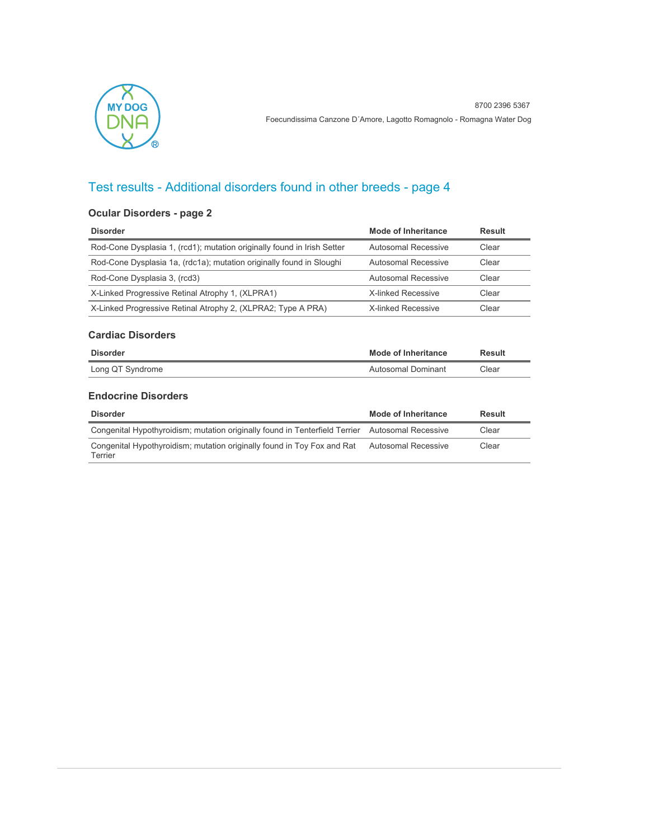

### **Ocular Disorders - page 2**

| <b>Disorder</b>                                                         | Mode of Inheritance | Result |
|-------------------------------------------------------------------------|---------------------|--------|
| Rod-Cone Dysplasia 1, (rcd1); mutation originally found in Irish Setter | Autosomal Recessive | Clear  |
| Rod-Cone Dysplasia 1a, (rdc1a); mutation originally found in Sloughi    | Autosomal Recessive | Clear  |
| Rod-Cone Dysplasia 3, (rcd3)                                            | Autosomal Recessive | Clear  |
| X-Linked Progressive Retinal Atrophy 1, (XLPRA1)                        | X-linked Recessive  | Clear  |
| X-Linked Progressive Retinal Atrophy 2, (XLPRA2; Type A PRA)            | X-linked Recessive  | Clear  |

### **Cardiac Disorders**

| Disorder         | Mode of Inheritance | Result |
|------------------|---------------------|--------|
| Long QT Syndrome | Autosomal Dominant  | Clear  |

#### **Endocrine Disorders**

| <b>Disorder</b>                                                                                 | Mode of Inheritance | Result |
|-------------------------------------------------------------------------------------------------|---------------------|--------|
| Congenital Hypothyroidism; mutation originally found in Tenterfield Terrier Autosomal Recessive |                     | Clear  |
| Congenital Hypothyroidism; mutation originally found in Toy Fox and Rat<br>Terrier              | Autosomal Recessive | Clear  |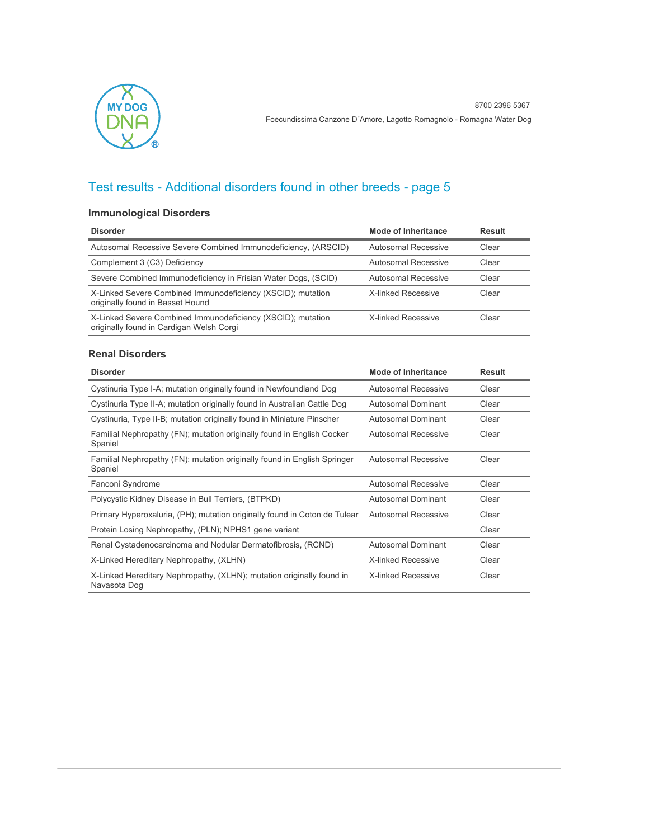

### **Immunological Disorders**

| <b>Disorder</b>                                                                                         | Mode of Inheritance | Result |
|---------------------------------------------------------------------------------------------------------|---------------------|--------|
| Autosomal Recessive Severe Combined Immunodeficiency, (ARSCID)                                          | Autosomal Recessive | Clear  |
| Complement 3 (C3) Deficiency                                                                            | Autosomal Recessive | Clear  |
| Severe Combined Immunodeficiency in Frisian Water Dogs, (SCID)                                          | Autosomal Recessive | Clear  |
| X-Linked Severe Combined Immunodeficiency (XSCID); mutation<br>originally found in Basset Hound         | X-linked Recessive  | Clear  |
| X-Linked Severe Combined Immunodeficiency (XSCID); mutation<br>originally found in Cardigan Welsh Corgi | X-linked Recessive  | Clear  |

#### **Renal Disorders**

| <b>Disorder</b>                                                                       | Mode of Inheritance        | <b>Result</b> |
|---------------------------------------------------------------------------------------|----------------------------|---------------|
| Cystinuria Type I-A; mutation originally found in Newfoundland Dog                    | <b>Autosomal Recessive</b> | Clear         |
| Cystinuria Type II-A; mutation originally found in Australian Cattle Dog              | Autosomal Dominant         | Clear         |
| Cystinuria, Type II-B; mutation originally found in Miniature Pinscher                | Autosomal Dominant         | Clear         |
| Familial Nephropathy (FN); mutation originally found in English Cocker<br>Spaniel     | <b>Autosomal Recessive</b> | Clear         |
| Familial Nephropathy (FN); mutation originally found in English Springer<br>Spaniel   | <b>Autosomal Recessive</b> | Clear         |
| Fanconi Syndrome                                                                      | Autosomal Recessive        | Clear         |
| Polycystic Kidney Disease in Bull Terriers, (BTPKD)                                   | Autosomal Dominant         | Clear         |
| Primary Hyperoxaluria, (PH); mutation originally found in Coton de Tulear             | <b>Autosomal Recessive</b> | Clear         |
| Protein Losing Nephropathy, (PLN); NPHS1 gene variant                                 |                            | Clear         |
| Renal Cystadenocarcinoma and Nodular Dermatofibrosis, (RCND)                          | Autosomal Dominant         | Clear         |
| X-Linked Hereditary Nephropathy, (XLHN)                                               | <b>X-linked Recessive</b>  | Clear         |
| X-Linked Hereditary Nephropathy, (XLHN); mutation originally found in<br>Navasota Dog | <b>X-linked Recessive</b>  | Clear         |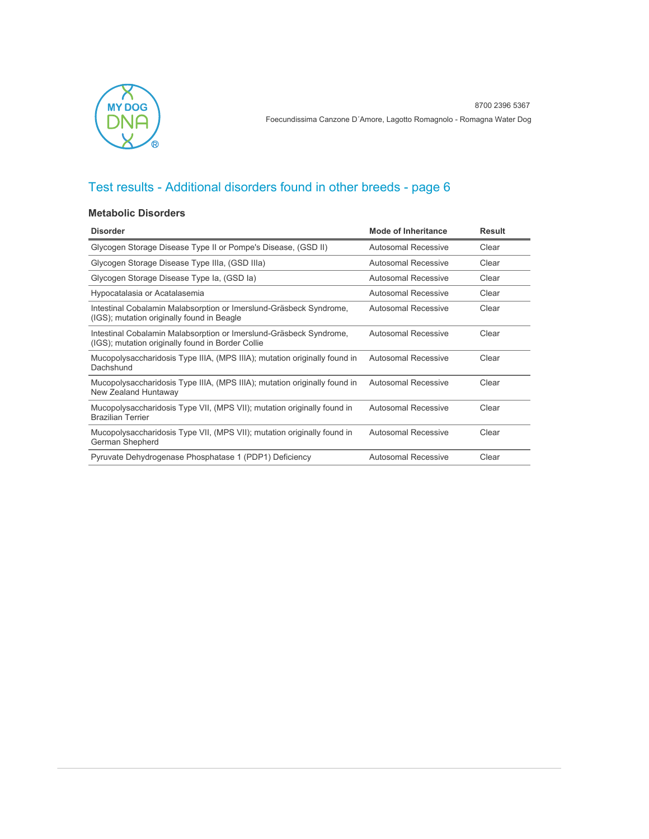

#### **Metabolic Disorders**

| <b>Disorder</b>                                                                                                         | Mode of Inheritance        | <b>Result</b> |
|-------------------------------------------------------------------------------------------------------------------------|----------------------------|---------------|
| Glycogen Storage Disease Type II or Pompe's Disease, (GSD II)                                                           | <b>Autosomal Recessive</b> | Clear         |
| Glycogen Storage Disease Type IIIa, (GSD IIIa)                                                                          | Autosomal Recessive        | Clear         |
| Glycogen Storage Disease Type Ia, (GSD Ia)                                                                              | Autosomal Recessive        | Clear         |
| Hypocatalasia or Acatalasemia                                                                                           | Autosomal Recessive        | Clear         |
| Intestinal Cobalamin Malabsorption or Imerslund-Gräsbeck Syndrome,<br>(IGS); mutation originally found in Beagle        | <b>Autosomal Recessive</b> | Clear         |
| Intestinal Cobalamin Malabsorption or Imerslund-Gräsbeck Syndrome,<br>(IGS); mutation originally found in Border Collie | Autosomal Recessive        | Clear         |
| Mucopolysaccharidosis Type IIIA, (MPS IIIA); mutation originally found in<br>Dachshund                                  | <b>Autosomal Recessive</b> | Clear         |
| Mucopolysaccharidosis Type IIIA, (MPS IIIA); mutation originally found in<br>New Zealand Huntaway                       | <b>Autosomal Recessive</b> | Clear         |
| Mucopolysaccharidosis Type VII, (MPS VII); mutation originally found in<br><b>Brazilian Terrier</b>                     | <b>Autosomal Recessive</b> | Clear         |
| Mucopolysaccharidosis Type VII, (MPS VII); mutation originally found in<br>German Shepherd                              | Autosomal Recessive        | Clear         |
| Pyruvate Dehydrogenase Phosphatase 1 (PDP1) Deficiency                                                                  | Autosomal Recessive        | Clear         |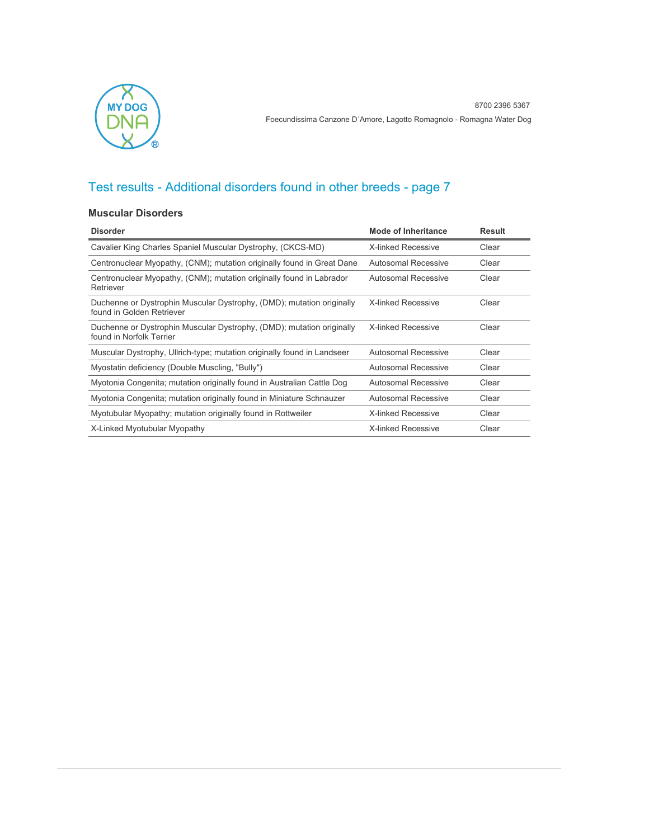

#### **Muscular Disorders**

| <b>Disorder</b>                                                                                    | <b>Mode of Inheritance</b> | <b>Result</b> |
|----------------------------------------------------------------------------------------------------|----------------------------|---------------|
| Cavalier King Charles Spaniel Muscular Dystrophy, (CKCS-MD)                                        | <b>X-linked Recessive</b>  | Clear         |
| Centronuclear Myopathy, (CNM); mutation originally found in Great Dane                             | Autosomal Recessive        | Clear         |
| Centronuclear Myopathy, (CNM); mutation originally found in Labrador<br>Retriever                  | Autosomal Recessive        | Clear         |
| Duchenne or Dystrophin Muscular Dystrophy, (DMD); mutation originally<br>found in Golden Retriever | <b>X-linked Recessive</b>  | Clear         |
| Duchenne or Dystrophin Muscular Dystrophy, (DMD); mutation originally<br>found in Norfolk Terrier  | <b>X-linked Recessive</b>  | Clear         |
| Muscular Dystrophy, Ullrich-type; mutation originally found in Landseer                            | Autosomal Recessive        | Clear         |
| Myostatin deficiency (Double Muscling, "Bully")                                                    | Autosomal Recessive        | Clear         |
| Myotonia Congenita; mutation originally found in Australian Cattle Dog                             | Autosomal Recessive        | Clear         |
| Myotonia Congenita; mutation originally found in Miniature Schnauzer                               | Autosomal Recessive        | Clear         |
| Myotubular Myopathy; mutation originally found in Rottweiler                                       | <b>X-linked Recessive</b>  | Clear         |
| X-Linked Myotubular Myopathy                                                                       | <b>X-linked Recessive</b>  | Clear         |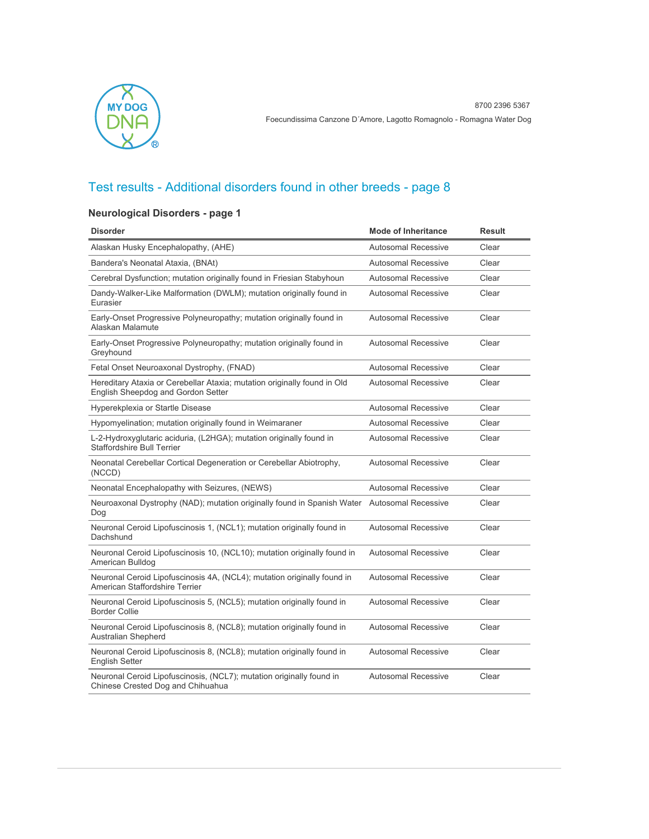

### **Neurological Disorders - page 1**

| <b>Disorder</b>                                                                                                | <b>Mode of Inheritance</b> | <b>Result</b> |
|----------------------------------------------------------------------------------------------------------------|----------------------------|---------------|
| Alaskan Husky Encephalopathy, (AHE)                                                                            | <b>Autosomal Recessive</b> | Clear         |
| Bandera's Neonatal Ataxia, (BNAt)                                                                              | <b>Autosomal Recessive</b> | Clear         |
| Cerebral Dysfunction; mutation originally found in Friesian Stabyhoun                                          | <b>Autosomal Recessive</b> | Clear         |
| Dandy-Walker-Like Malformation (DWLM); mutation originally found in<br>Eurasier                                | <b>Autosomal Recessive</b> | Clear         |
| Early-Onset Progressive Polyneuropathy; mutation originally found in<br>Alaskan Malamute                       | <b>Autosomal Recessive</b> | Clear         |
| Early-Onset Progressive Polyneuropathy; mutation originally found in<br>Greyhound                              | <b>Autosomal Recessive</b> | Clear         |
| Fetal Onset Neuroaxonal Dystrophy, (FNAD)                                                                      | <b>Autosomal Recessive</b> | Clear         |
| Hereditary Ataxia or Cerebellar Ataxia; mutation originally found in Old<br>English Sheepdog and Gordon Setter | <b>Autosomal Recessive</b> | Clear         |
| Hyperekplexia or Startle Disease                                                                               | <b>Autosomal Recessive</b> | Clear         |
| Hypomyelination; mutation originally found in Weimaraner                                                       | <b>Autosomal Recessive</b> | Clear         |
| L-2-Hydroxyglutaric aciduria, (L2HGA); mutation originally found in<br><b>Staffordshire Bull Terrier</b>       | <b>Autosomal Recessive</b> | Clear         |
| Neonatal Cerebellar Cortical Degeneration or Cerebellar Abiotrophy,<br>(NCCD)                                  | <b>Autosomal Recessive</b> | Clear         |
| Neonatal Encephalopathy with Seizures, (NEWS)                                                                  | <b>Autosomal Recessive</b> | Clear         |
| Neuroaxonal Dystrophy (NAD); mutation originally found in Spanish Water Autosomal Recessive<br>Dog             |                            | Clear         |
| Neuronal Ceroid Lipofuscinosis 1, (NCL1); mutation originally found in<br>Dachshund                            | <b>Autosomal Recessive</b> | Clear         |
| Neuronal Ceroid Lipofuscinosis 10, (NCL10); mutation originally found in<br>American Bulldog                   | <b>Autosomal Recessive</b> | Clear         |
| Neuronal Ceroid Lipofuscinosis 4A, (NCL4); mutation originally found in<br>American Staffordshire Terrier      | <b>Autosomal Recessive</b> | Clear         |
| Neuronal Ceroid Lipofuscinosis 5, (NCL5); mutation originally found in<br><b>Border Collie</b>                 | <b>Autosomal Recessive</b> | Clear         |
| Neuronal Ceroid Lipofuscinosis 8, (NCL8); mutation originally found in<br><b>Australian Shepherd</b>           | <b>Autosomal Recessive</b> | Clear         |
| Neuronal Ceroid Lipofuscinosis 8, (NCL8); mutation originally found in<br><b>English Setter</b>                | <b>Autosomal Recessive</b> | Clear         |
| Neuronal Ceroid Lipofuscinosis, (NCL7); mutation originally found in<br>Chinese Crested Dog and Chihuahua      | <b>Autosomal Recessive</b> | Clear         |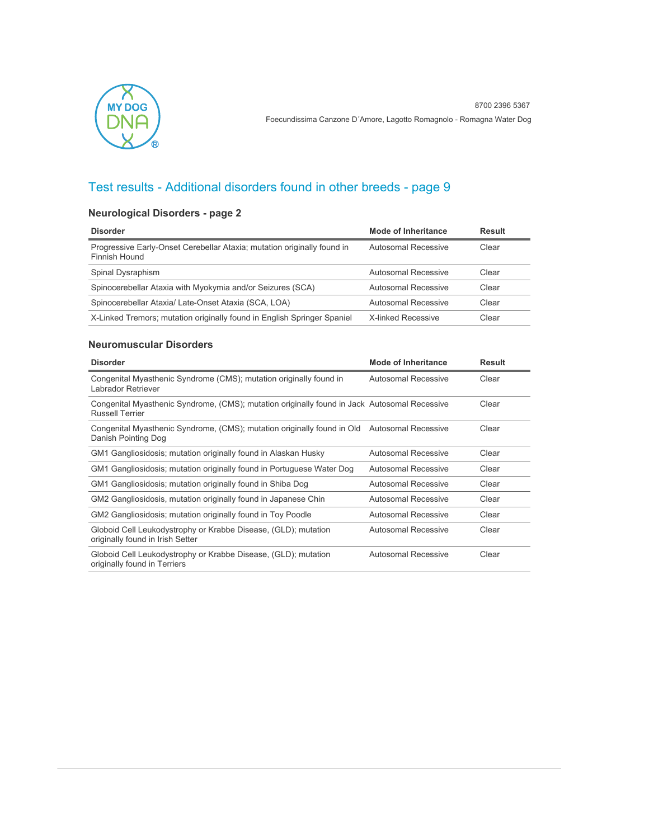

### **Neurological Disorders - page 2**

| <b>Disorder</b>                                                                          | Mode of Inheritance | <b>Result</b> |
|------------------------------------------------------------------------------------------|---------------------|---------------|
| Progressive Early-Onset Cerebellar Ataxia; mutation originally found in<br>Finnish Hound | Autosomal Recessive | Clear         |
| Spinal Dysraphism                                                                        | Autosomal Recessive | Clear         |
| Spinocerebellar Ataxia with Myokymia and/or Seizures (SCA)                               | Autosomal Recessive | Clear         |
| Spinocerebellar Ataxia/ Late-Onset Ataxia (SCA, LOA)                                     | Autosomal Recessive | Clear         |
| X-Linked Tremors; mutation originally found in English Springer Spaniel                  | X-linked Recessive  | Clear         |

#### **Neuromuscular Disorders**

| <b>Disorder</b>                                                                                                        | Mode of Inheritance        | <b>Result</b> |
|------------------------------------------------------------------------------------------------------------------------|----------------------------|---------------|
| Congenital Myasthenic Syndrome (CMS); mutation originally found in<br>Labrador Retriever                               | Autosomal Recessive        | Clear         |
| Congenital Myasthenic Syndrome, (CMS); mutation originally found in Jack Autosomal Recessive<br><b>Russell Terrier</b> |                            | Clear         |
| Congenital Myasthenic Syndrome, (CMS); mutation originally found in Old<br>Danish Pointing Dog                         | Autosomal Recessive        | Clear         |
| GM1 Gangliosidosis; mutation originally found in Alaskan Husky                                                         | Autosomal Recessive        | Clear         |
| GM1 Gangliosidosis; mutation originally found in Portuguese Water Dog                                                  | Autosomal Recessive        | Clear         |
| GM1 Gangliosidosis; mutation originally found in Shiba Dog                                                             | Autosomal Recessive        | Clear         |
| GM2 Gangliosidosis, mutation originally found in Japanese Chin                                                         | Autosomal Recessive        | Clear         |
| GM2 Gangliosidosis; mutation originally found in Toy Poodle                                                            | Autosomal Recessive        | Clear         |
| Globoid Cell Leukodystrophy or Krabbe Disease, (GLD); mutation<br>originally found in Irish Setter                     | Autosomal Recessive        | Clear         |
| Globoid Cell Leukodystrophy or Krabbe Disease, (GLD); mutation<br>originally found in Terriers                         | <b>Autosomal Recessive</b> | Clear         |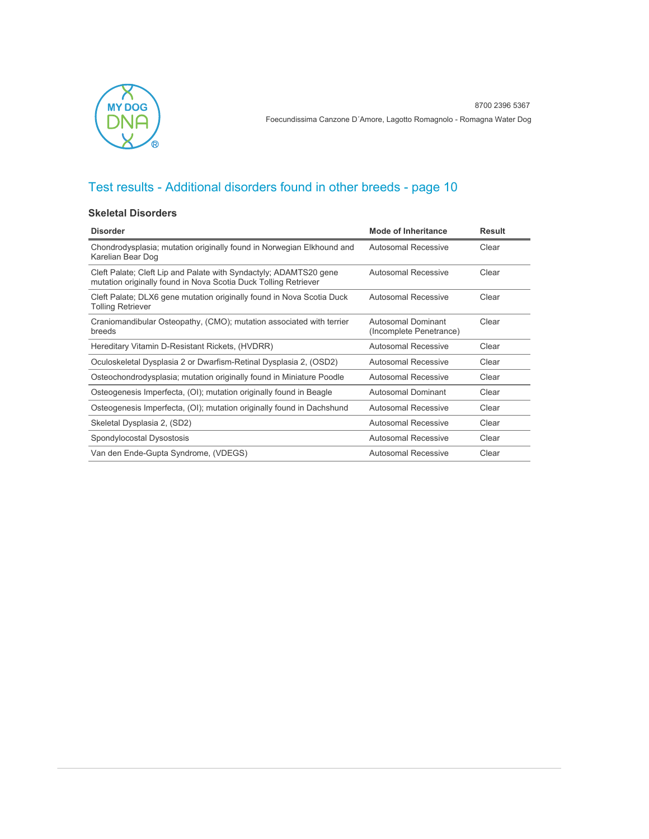

#### **Skeletal Disorders**

| <b>Disorder</b>                                                                                                                      | Mode of Inheritance                           | Result |
|--------------------------------------------------------------------------------------------------------------------------------------|-----------------------------------------------|--------|
| Chondrodysplasia; mutation originally found in Norwegian Elkhound and<br>Karelian Bear Dog                                           | <b>Autosomal Recessive</b>                    | Clear  |
| Cleft Palate; Cleft Lip and Palate with Syndactyly; ADAMTS20 gene<br>mutation originally found in Nova Scotia Duck Tolling Retriever | <b>Autosomal Recessive</b>                    | Clear  |
| Cleft Palate; DLX6 gene mutation originally found in Nova Scotia Duck<br><b>Tolling Retriever</b>                                    | <b>Autosomal Recessive</b>                    | Clear  |
| Craniomandibular Osteopathy, (CMO); mutation associated with terrier<br>breeds                                                       | Autosomal Dominant<br>(Incomplete Penetrance) | Clear  |
| Hereditary Vitamin D-Resistant Rickets, (HVDRR)                                                                                      | Autosomal Recessive                           | Clear  |
| Oculoskeletal Dysplasia 2 or Dwarfism-Retinal Dysplasia 2, (OSD2)                                                                    | Autosomal Recessive                           | Clear  |
| Osteochondrodysplasia; mutation originally found in Miniature Poodle                                                                 | Autosomal Recessive                           | Clear  |
| Osteogenesis Imperfecta, (OI); mutation originally found in Beagle                                                                   | Autosomal Dominant                            | Clear  |
| Osteogenesis Imperfecta, (OI); mutation originally found in Dachshund                                                                | Autosomal Recessive                           | Clear  |
| Skeletal Dysplasia 2, (SD2)                                                                                                          | <b>Autosomal Recessive</b>                    | Clear  |
| Spondylocostal Dysostosis                                                                                                            | Autosomal Recessive                           | Clear  |
| Van den Ende-Gupta Syndrome, (VDEGS)                                                                                                 | <b>Autosomal Recessive</b>                    | Clear  |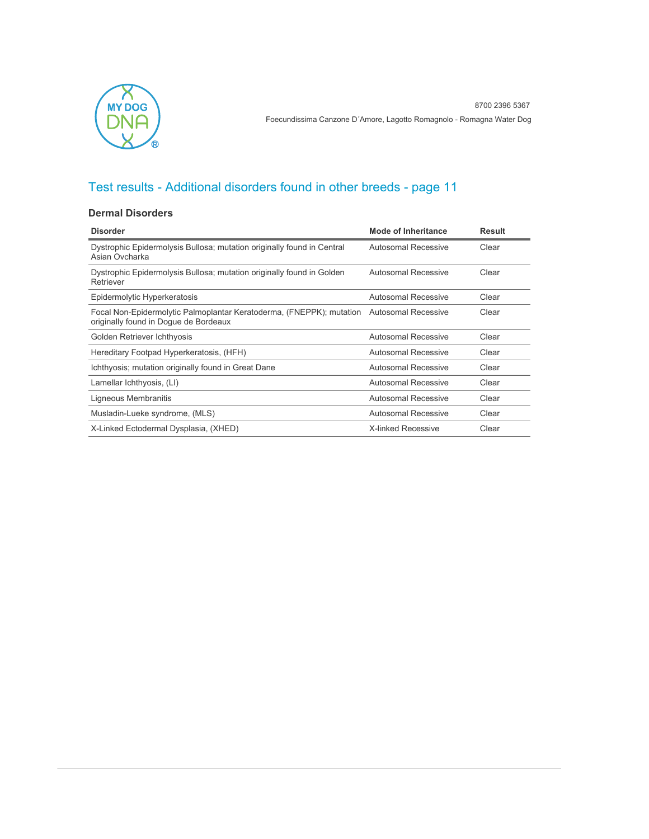

#### **Dermal Disorders**

| <b>Disorder</b>                                                                                                                   | <b>Mode of Inheritance</b> | Result |
|-----------------------------------------------------------------------------------------------------------------------------------|----------------------------|--------|
| Dystrophic Epidermolysis Bullosa; mutation originally found in Central<br>Asian Ovcharka                                          | Autosomal Recessive        | Clear  |
| Dystrophic Epidermolysis Bullosa; mutation originally found in Golden<br>Retriever                                                | <b>Autosomal Recessive</b> | Clear  |
| Epidermolytic Hyperkeratosis                                                                                                      | Autosomal Recessive        | Clear  |
| Focal Non-Epidermolytic Palmoplantar Keratoderma, (FNEPPK); mutation Autosomal Recessive<br>originally found in Doque de Bordeaux |                            | Clear  |
| Golden Retriever Ichthyosis                                                                                                       | Autosomal Recessive        | Clear  |
| Hereditary Footpad Hyperkeratosis, (HFH)                                                                                          | Autosomal Recessive        | Clear  |
| Ichthyosis; mutation originally found in Great Dane                                                                               | Autosomal Recessive        | Clear  |
| Lamellar Ichthyosis, (LI)                                                                                                         | Autosomal Recessive        | Clear  |
| Ligneous Membranitis                                                                                                              | Autosomal Recessive        | Clear  |
| Musladin-Lueke syndrome, (MLS)                                                                                                    | Autosomal Recessive        | Clear  |
| X-Linked Ectodermal Dysplasia, (XHED)                                                                                             | <b>X-linked Recessive</b>  | Clear  |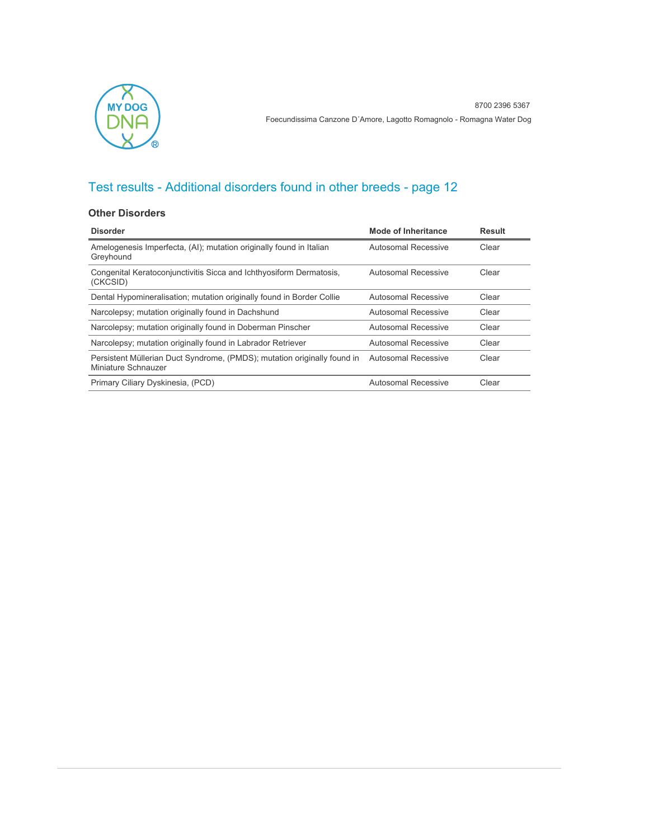

#### **Other Disorders**

| <b>Disorder</b>                                                                                 | Mode of Inheritance | <b>Result</b> |
|-------------------------------------------------------------------------------------------------|---------------------|---------------|
| Amelogenesis Imperfecta, (AI); mutation originally found in Italian<br>Greyhound                | Autosomal Recessive | Clear         |
| Congenital Keratoconjunctivitis Sicca and Ichthyosiform Dermatosis,<br>(CKCSID)                 | Autosomal Recessive | Clear         |
| Dental Hypomineralisation; mutation originally found in Border Collie                           | Autosomal Recessive | Clear         |
| Narcolepsy; mutation originally found in Dachshund                                              | Autosomal Recessive | Clear         |
| Narcolepsy; mutation originally found in Doberman Pinscher                                      | Autosomal Recessive | Clear         |
| Narcolepsy; mutation originally found in Labrador Retriever                                     | Autosomal Recessive | Clear         |
| Persistent Müllerian Duct Syndrome, (PMDS); mutation originally found in<br>Miniature Schnauzer | Autosomal Recessive | Clear         |
| Primary Ciliary Dyskinesia, (PCD)                                                               | Autosomal Recessive | Clear         |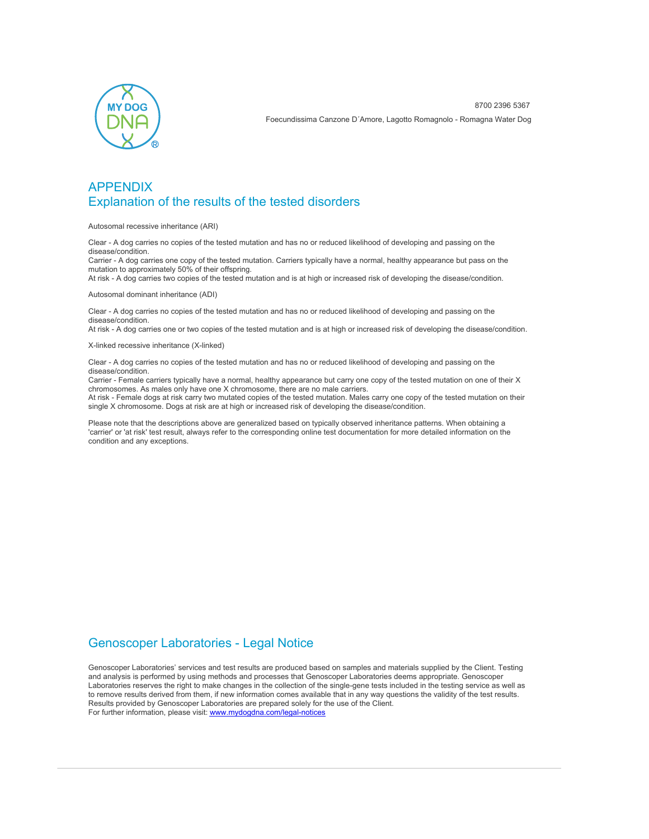

### APPENDIX Explanation of the results of the tested disorders

Autosomal recessive inheritance (ARI)

Clear - A dog carries no copies of the tested mutation and has no or reduced likelihood of developing and passing on the disease/condition.

Carrier - A dog carries one copy of the tested mutation. Carriers typically have a normal, healthy appearance but pass on the mutation to approximately 50% of their offspring.

At risk - A dog carries two copies of the tested mutation and is at high or increased risk of developing the disease/condition.

Autosomal dominant inheritance (ADI)

Clear - A dog carries no copies of the tested mutation and has no or reduced likelihood of developing and passing on the disease/condition.

At risk - A dog carries one or two copies of the tested mutation and is at high or increased risk of developing the disease/condition.

X-linked recessive inheritance (X-linked)

Clear - A dog carries no copies of the tested mutation and has no or reduced likelihood of developing and passing on the disease/condition.

Carrier - Female carriers typically have a normal, healthy appearance but carry one copy of the tested mutation on one of their X chromosomes. As males only have one X chromosome, there are no male carriers.

At risk - Female dogs at risk carry two mutated copies of the tested mutation. Males carry one copy of the tested mutation on their single X chromosome. Dogs at risk are at high or increased risk of developing the disease/condition.

Please note that the descriptions above are generalized based on typically observed inheritance patterns. When obtaining a 'carrier' or 'at risk' test result, always refer to the corresponding online test documentation for more detailed information on the condition and any exceptions.

### Genoscoper Laboratories - Legal Notice

Genoscoper Laboratories' services and test results are produced based on samples and materials supplied by the Client. Testing and analysis is performed by using methods and processes that Genoscoper Laboratories deems appropriate. Genoscoper Laboratories reserves the right to make changes in the collection of the single-gene tests included in the testing service as well as to remove results derived from them, if new information comes available that in any way questions the validity of the test results. Results provided by Genoscoper Laboratories are prepared solely for the use of the Client. For further information, please visit: [www.mydogdna.com/legal-notices](http://www.mydogdna.com/legal-notices)